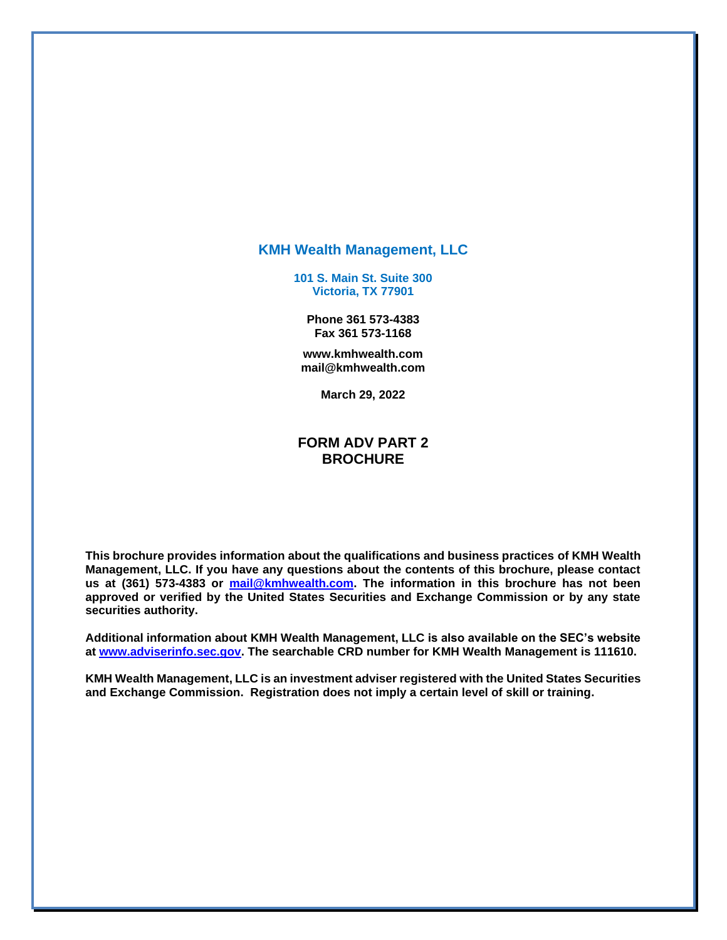#### **KMH Wealth Management, LLC**

**101 S. Main St. Suite 300 Victoria, TX 77901**

**Phone 361 573-4383 Fax 361 573-1168**

**www.kmhwealth.com mail@kmhwealth.com**

**March 29, 2022**

#### **FORM ADV PART 2 BROCHURE**

**This brochure provides information about the qualifications and business practices of KMH Wealth Management, LLC. If you have any questions about the contents of this brochure, please contact us at (361) 573-4383 or mail@kmhwealth.com. The information in this brochure has not been approved or verified by the United States Securities and Exchange Commission or by any state securities authority.**

**Additional information about KMH Wealth Management, LLC is also available on the SEC's website at [www.adviserinfo.sec.gov.](http://www.adviserinfo.sec.gov/) The searchable CRD number for KMH Wealth Management is 111610.** 

**KMH Wealth Management, LLC is an investment adviser registered with the United States Securities and Exchange Commission. Registration does not imply a certain level of skill or training.**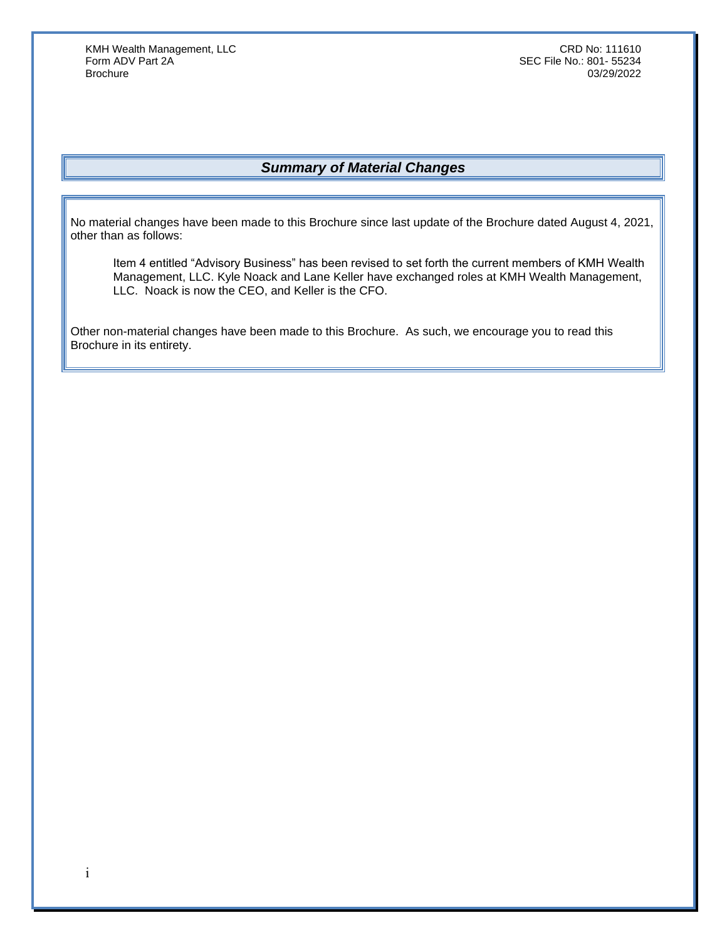### *Summary of Material Changes*

<span id="page-1-0"></span>No material changes have been made to this Brochure since last update of the Brochure dated August 4, 2021, other than as follows:

Item 4 entitled "Advisory Business" has been revised to set forth the current members of KMH Wealth Management, LLC. Kyle Noack and Lane Keller have exchanged roles at KMH Wealth Management, LLC. Noack is now the CEO, and Keller is the CFO.

Other non-material changes have been made to this Brochure. As such, we encourage you to read this Brochure in its entirety.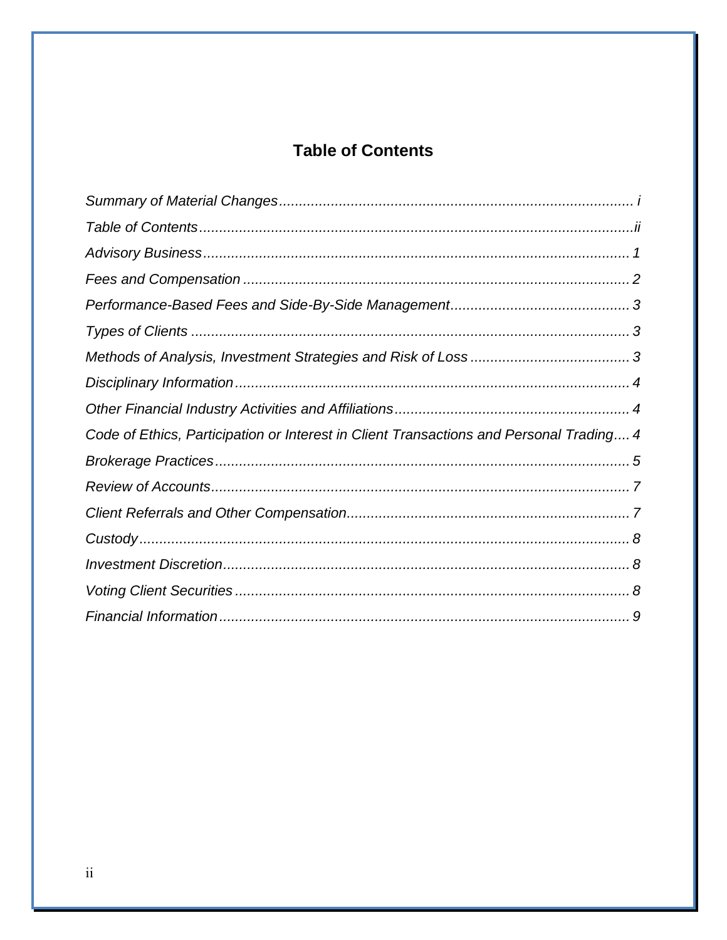# **Table of Contents**

<span id="page-2-0"></span>

| Code of Ethics, Participation or Interest in Client Transactions and Personal Trading 4 |  |
|-----------------------------------------------------------------------------------------|--|
|                                                                                         |  |
|                                                                                         |  |
|                                                                                         |  |
|                                                                                         |  |
|                                                                                         |  |
|                                                                                         |  |
|                                                                                         |  |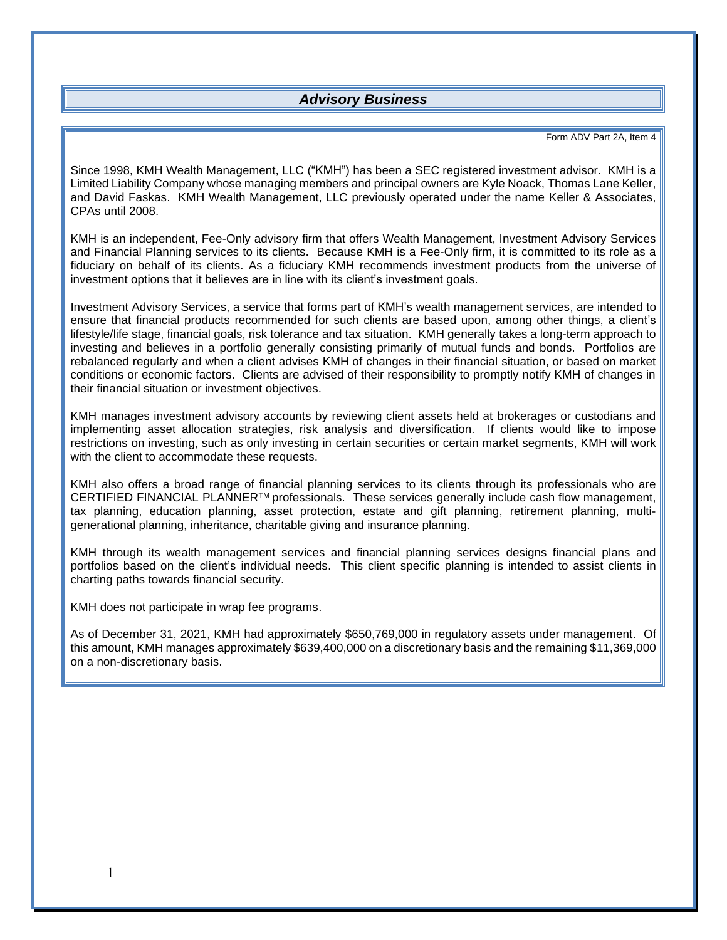#### *Advisory Business*

#### Form ADV Part 2A, Item 4

<span id="page-3-0"></span>Since 1998, KMH Wealth Management, LLC ("KMH") has been a SEC registered investment advisor. KMH is a Limited Liability Company whose managing members and principal owners are Kyle Noack, Thomas Lane Keller, and David Faskas. KMH Wealth Management, LLC previously operated under the name Keller & Associates, CPAs until 2008.

KMH is an independent, Fee-Only advisory firm that offers Wealth Management, Investment Advisory Services and Financial Planning services to its clients. Because KMH is a Fee-Only firm, it is committed to its role as a fiduciary on behalf of its clients. As a fiduciary KMH recommends investment products from the universe of investment options that it believes are in line with its client's investment goals.

Investment Advisory Services, a service that forms part of KMH's wealth management services, are intended to ensure that financial products recommended for such clients are based upon, among other things, a client's lifestyle/life stage, financial goals, risk tolerance and tax situation. KMH generally takes a long-term approach to investing and believes in a portfolio generally consisting primarily of mutual funds and bonds. Portfolios are rebalanced regularly and when a client advises KMH of changes in their financial situation, or based on market conditions or economic factors. Clients are advised of their responsibility to promptly notify KMH of changes in their financial situation or investment objectives.

KMH manages investment advisory accounts by reviewing client assets held at brokerages or custodians and implementing asset allocation strategies, risk analysis and diversification. If clients would like to impose restrictions on investing, such as only investing in certain securities or certain market segments, KMH will work with the client to accommodate these requests.

KMH also offers a broad range of financial planning services to its clients through its professionals who are CERTIFIED FINANCIAL PLANNERTM professionals. These services generally include cash flow management, tax planning, education planning, asset protection, estate and gift planning, retirement planning, multigenerational planning, inheritance, charitable giving and insurance planning.

KMH through its wealth management services and financial planning services designs financial plans and portfolios based on the client's individual needs. This client specific planning is intended to assist clients in charting paths towards financial security.

KMH does not participate in wrap fee programs.

As of December 31, 2021, KMH had approximately \$650,769,000 in regulatory assets under management. Of this amount, KMH manages approximately \$639,400,000 on a discretionary basis and the remaining \$11,369,000 on a non-discretionary basis.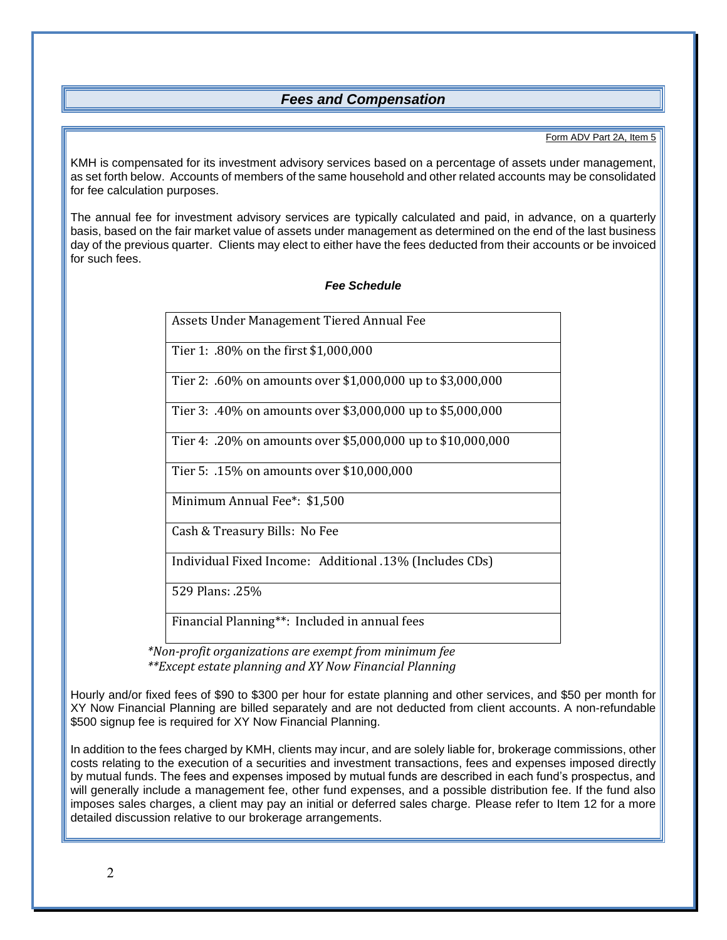#### *Fees and Compensation*

#### Form ADV Part 2A, Item 5

<span id="page-4-0"></span>KMH is compensated for its investment advisory services based on a percentage of assets under management, as set forth below. Accounts of members of the same household and other related accounts may be consolidated for fee calculation purposes.

The annual fee for investment advisory services are typically calculated and paid, in advance, on a quarterly basis, based on the fair market value of assets under management as determined on the end of the last business day of the previous quarter. Clients may elect to either have the fees deducted from their accounts or be invoiced for such fees.

#### *Fee Schedule*

Assets Under Management Tiered Annual Fee

Tier 1: .80% on the first \$1,000,000

Tier 2: .60% on amounts over \$1,000,000 up to \$3,000,000

Tier 3: .40% on amounts over \$3,000,000 up to \$5,000,000

Tier 4: .20% on amounts over \$5,000,000 up to \$10,000,000

Tier 5: .15% on amounts over \$10,000,000

Minimum Annual Fee\*: \$1,500

Cash & Treasury Bills: No Fee

Individual Fixed Income: Additional .13% (Includes CDs)

529 Plans: .25%

Financial Planning\*\*: Included in annual fees

 *\*Non-profit organizations are exempt from minimum fee \*\*Except estate planning and XY Now Financial Planning*

Hourly and/or fixed fees of \$90 to \$300 per hour for estate planning and other services, and \$50 per month for XY Now Financial Planning are billed separately and are not deducted from client accounts. A non-refundable \$500 signup fee is required for XY Now Financial Planning.

In addition to the fees charged by KMH, clients may incur, and are solely liable for, brokerage commissions, other costs relating to the execution of a securities and investment transactions, fees and expenses imposed directly by mutual funds. The fees and expenses imposed by mutual funds are described in each fund's prospectus, and will generally include a management fee, other fund expenses, and a possible distribution fee. If the fund also imposes sales charges, a client may pay an initial or deferred sales charge. Please refer to Item 12 for a more detailed discussion relative to our brokerage arrangements.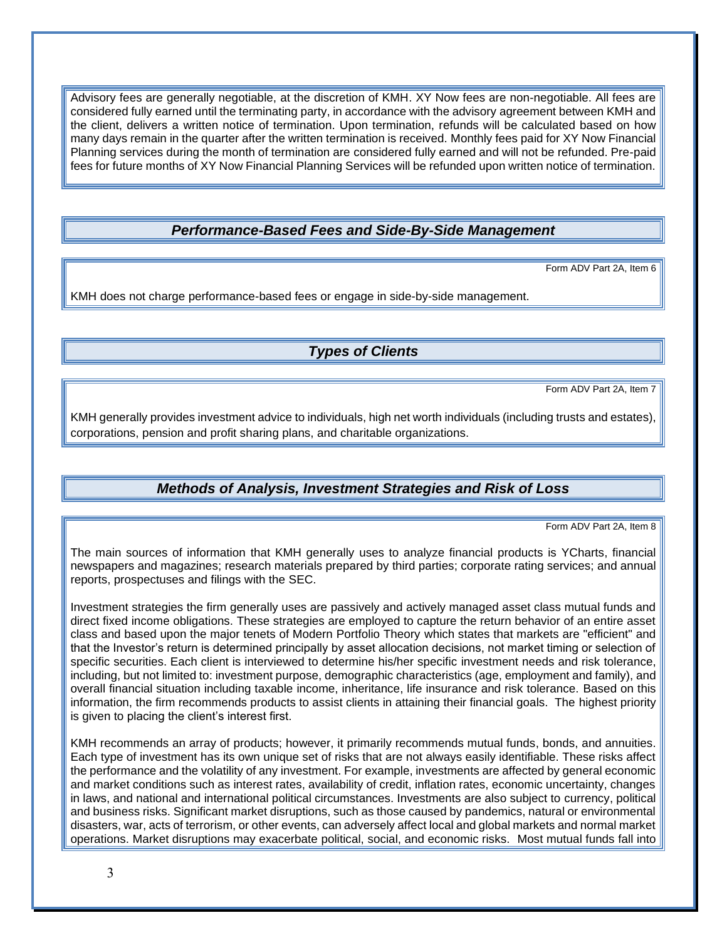Advisory fees are generally negotiable, at the discretion of KMH. XY Now fees are non-negotiable. All fees are considered fully earned until the terminating party, in accordance with the advisory agreement between KMH and the client, delivers a written notice of termination. Upon termination, refunds will be calculated based on how many days remain in the quarter after the written termination is received. Monthly fees paid for XY Now Financial Planning services during the month of termination are considered fully earned and will not be refunded. Pre-paid fees for future months of XY Now Financial Planning Services will be refunded upon written notice of termination.

### *Performance-Based Fees and Side-By-Side Management*

Form ADV Part 2A, Item 6

<span id="page-5-1"></span><span id="page-5-0"></span>KMH does not charge performance-based fees or engage in side-by-side management.

#### *Types of Clients*

Form ADV Part 2A, Item 7

KMH generally provides investment advice to individuals, high net worth individuals (including trusts and estates), corporations, pension and profit sharing plans, and charitable organizations.

#### *Methods of Analysis, Investment Strategies and Risk of Loss*

Form ADV Part 2A, Item 8

<span id="page-5-2"></span>The main sources of information that KMH generally uses to analyze financial products is YCharts, financial newspapers and magazines; research materials prepared by third parties; corporate rating services; and annual reports, prospectuses and filings with the SEC.

Investment strategies the firm generally uses are passively and actively managed asset class mutual funds and direct fixed income obligations. These strategies are employed to capture the return behavior of an entire asset class and based upon the major tenets of Modern Portfolio Theory which states that markets are "efficient" and that the Investor's return is determined principally by asset allocation decisions, not market timing or selection of specific securities. Each client is interviewed to determine his/her specific investment needs and risk tolerance, including, but not limited to: investment purpose, demographic characteristics (age, employment and family), and overall financial situation including taxable income, inheritance, life insurance and risk tolerance. Based on this information, the firm recommends products to assist clients in attaining their financial goals. The highest priority is given to placing the client's interest first.

KMH recommends an array of products; however, it primarily recommends mutual funds, bonds, and annuities. Each type of investment has its own unique set of risks that are not always easily identifiable. These risks affect the performance and the volatility of any investment. For example, investments are affected by general economic and market conditions such as interest rates, availability of credit, inflation rates, economic uncertainty, changes in laws, and national and international political circumstances. Investments are also subject to currency, political and business risks. Significant market disruptions, such as those caused by pandemics, natural or environmental disasters, war, acts of terrorism, or other events, can adversely affect local and global markets and normal market operations. Market disruptions may exacerbate political, social, and economic risks. Most mutual funds fall into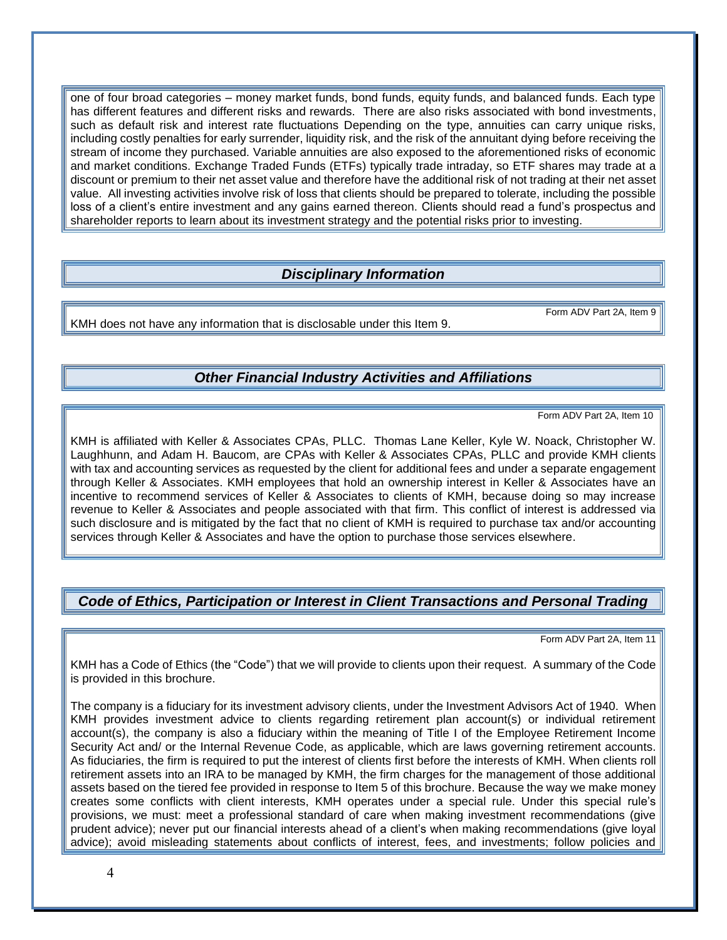one of four broad categories – money market funds, bond funds, equity funds, and balanced funds. Each type has different features and different risks and rewards. There are also risks associated with bond investments, such as default risk and interest rate fluctuations Depending on the type, annuities can carry unique risks, including costly penalties for early surrender, liquidity risk, and the risk of the annuitant dying before receiving the stream of income they purchased. Variable annuities are also exposed to the aforementioned risks of economic and market conditions. Exchange Traded Funds (ETFs) typically trade intraday, so ETF shares may trade at a discount or premium to their net asset value and therefore have the additional risk of not trading at their net asset value. All investing activities involve risk of loss that clients should be prepared to tolerate, including the possible loss of a client's entire investment and any gains earned thereon. Clients should read a fund's prospectus and shareholder reports to learn about its investment strategy and the potential risks prior to investing.

### *Disciplinary Information*

<span id="page-6-1"></span><span id="page-6-0"></span>KMH does not have any information that is disclosable under this Item 9.

### *Other Financial Industry Activities and Affiliations*

Form ADV Part 2A, Item 10

Form ADV Part 2A, Item 9

KMH is affiliated with Keller & Associates CPAs, PLLC. Thomas Lane Keller, Kyle W. Noack, Christopher W. Laughhunn, and Adam H. Baucom, are CPAs with Keller & Associates CPAs, PLLC and provide KMH clients with tax and accounting services as requested by the client for additional fees and under a separate engagement through Keller & Associates. KMH employees that hold an ownership interest in Keller & Associates have an incentive to recommend services of Keller & Associates to clients of KMH, because doing so may increase revenue to Keller & Associates and people associated with that firm. This conflict of interest is addressed via such disclosure and is mitigated by the fact that no client of KMH is required to purchase tax and/or accounting services through Keller & Associates and have the option to purchase those services elsewhere.

### <span id="page-6-2"></span>*Code of Ethics, Participation or Interest in Client Transactions and Personal Trading*

Form ADV Part 2A, Item 11

KMH has a Code of Ethics (the "Code") that we will provide to clients upon their request. A summary of the Code is provided in this brochure.

The company is a fiduciary for its investment advisory clients, under the Investment Advisors Act of 1940. When KMH provides investment advice to clients regarding retirement plan account(s) or individual retirement account(s), the company is also a fiduciary within the meaning of Title I of the Employee Retirement Income Security Act and/ or the Internal Revenue Code, as applicable, which are laws governing retirement accounts. As fiduciaries, the firm is required to put the interest of clients first before the interests of KMH. When clients roll retirement assets into an IRA to be managed by KMH, the firm charges for the management of those additional assets based on the tiered fee provided in response to Item 5 of this brochure. Because the way we make money creates some conflicts with client interests, KMH operates under a special rule. Under this special rule's provisions, we must: meet a professional standard of care when making investment recommendations (give prudent advice); never put our financial interests ahead of a client's when making recommendations (give loyal advice); avoid misleading statements about conflicts of interest, fees, and investments; follow policies and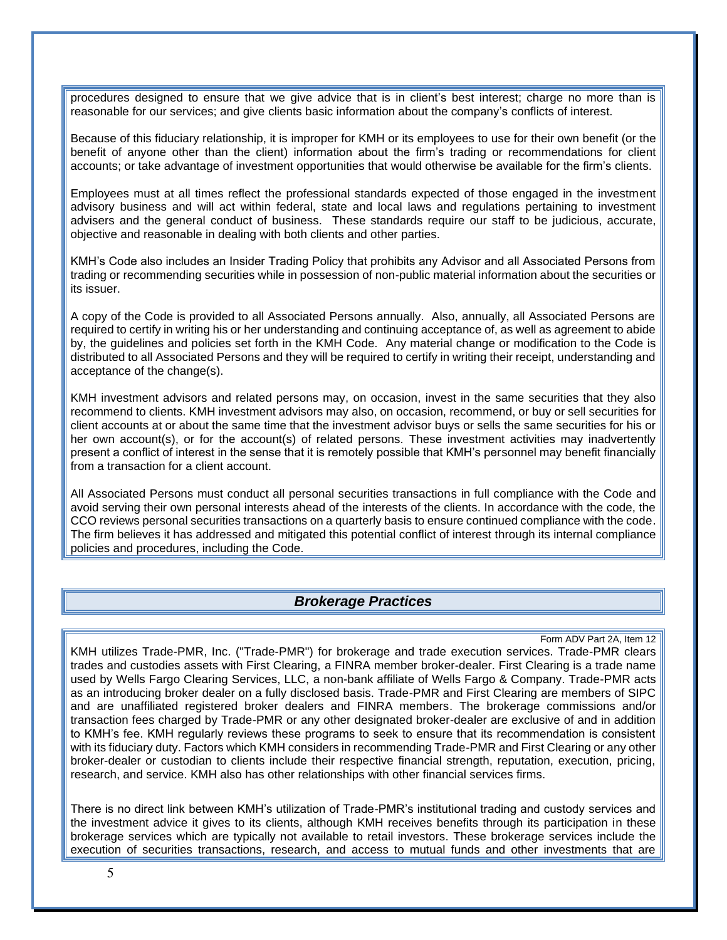procedures designed to ensure that we give advice that is in client's best interest; charge no more than is reasonable for our services; and give clients basic information about the company's conflicts of interest.

Because of this fiduciary relationship, it is improper for KMH or its employees to use for their own benefit (or the benefit of anyone other than the client) information about the firm's trading or recommendations for client accounts; or take advantage of investment opportunities that would otherwise be available for the firm's clients.

Employees must at all times reflect the professional standards expected of those engaged in the investment advisory business and will act within federal, state and local laws and regulations pertaining to investment advisers and the general conduct of business. These standards require our staff to be judicious, accurate, objective and reasonable in dealing with both clients and other parties.

KMH's Code also includes an Insider Trading Policy that prohibits any Advisor and all Associated Persons from trading or recommending securities while in possession of non-public material information about the securities or its issuer.

A copy of the Code is provided to all Associated Persons annually. Also, annually, all Associated Persons are required to certify in writing his or her understanding and continuing acceptance of, as well as agreement to abide by, the guidelines and policies set forth in the KMH Code. Any material change or modification to the Code is distributed to all Associated Persons and they will be required to certify in writing their receipt, understanding and acceptance of the change(s).

KMH investment advisors and related persons may, on occasion, invest in the same securities that they also recommend to clients. KMH investment advisors may also, on occasion, recommend, or buy or sell securities for client accounts at or about the same time that the investment advisor buys or sells the same securities for his or her own account(s), or for the account(s) of related persons. These investment activities may inadvertently present a conflict of interest in the sense that it is remotely possible that KMH's personnel may benefit financially from a transaction for a client account.

All Associated Persons must conduct all personal securities transactions in full compliance with the Code and avoid serving their own personal interests ahead of the interests of the clients. In accordance with the code, the CCO reviews personal securities transactions on a quarterly basis to ensure continued compliance with the code. The firm believes it has addressed and mitigated this potential conflict of interest through its internal compliance policies and procedures, including the Code.

#### *Brokerage Practices*

#### Form ADV Part 2A, Item 12

<span id="page-7-0"></span>KMH utilizes Trade-PMR, Inc. ("Trade-PMR") for brokerage and trade execution services. Trade-PMR clears trades and custodies assets with First Clearing, a FINRA member broker-dealer. First Clearing is a trade name used by Wells Fargo Clearing Services, LLC, a non-bank affiliate of Wells Fargo & Company. Trade-PMR acts as an introducing broker dealer on a fully disclosed basis. Trade-PMR and First Clearing are members of SIPC and are unaffiliated registered broker dealers and FINRA members. The brokerage commissions and/or transaction fees charged by Trade-PMR or any other designated broker-dealer are exclusive of and in addition to KMH's fee. KMH regularly reviews these programs to seek to ensure that its recommendation is consistent with its fiduciary duty. Factors which KMH considers in recommending Trade-PMR and First Clearing or any other broker-dealer or custodian to clients include their respective financial strength, reputation, execution, pricing, research, and service. KMH also has other relationships with other financial services firms.

There is no direct link between KMH's utilization of Trade-PMR's institutional trading and custody services and the investment advice it gives to its clients, although KMH receives benefits through its participation in these brokerage services which are typically not available to retail investors. These brokerage services include the execution of securities transactions, research, and access to mutual funds and other investments that are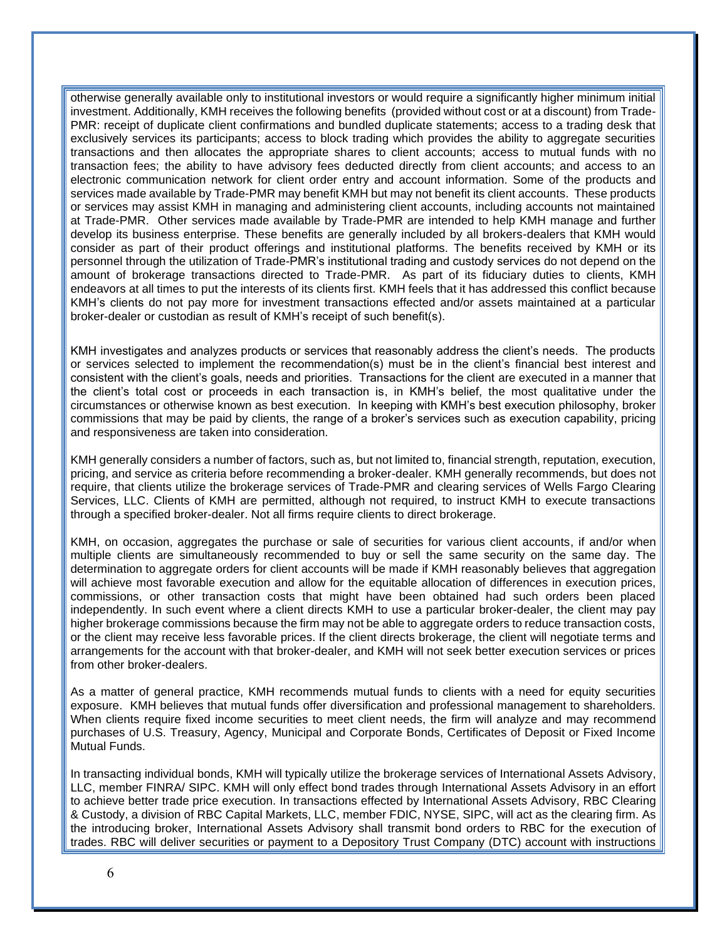otherwise generally available only to institutional investors or would require a significantly higher minimum initial investment. Additionally, KMH receives the following benefits (provided without cost or at a discount) from Trade-PMR: receipt of duplicate client confirmations and bundled duplicate statements; access to a trading desk that exclusively services its participants; access to block trading which provides the ability to aggregate securities transactions and then allocates the appropriate shares to client accounts; access to mutual funds with no transaction fees; the ability to have advisory fees deducted directly from client accounts; and access to an electronic communication network for client order entry and account information. Some of the products and services made available by Trade-PMR may benefit KMH but may not benefit its client accounts. These products or services may assist KMH in managing and administering client accounts, including accounts not maintained at Trade-PMR. Other services made available by Trade-PMR are intended to help KMH manage and further develop its business enterprise. These benefits are generally included by all brokers-dealers that KMH would consider as part of their product offerings and institutional platforms. The benefits received by KMH or its personnel through the utilization of Trade-PMR's institutional trading and custody services do not depend on the amount of brokerage transactions directed to Trade-PMR. As part of its fiduciary duties to clients, KMH endeavors at all times to put the interests of its clients first. KMH feels that it has addressed this conflict because KMH's clients do not pay more for investment transactions effected and/or assets maintained at a particular broker-dealer or custodian as result of KMH's receipt of such benefit(s).

KMH investigates and analyzes products or services that reasonably address the client's needs. The products or services selected to implement the recommendation(s) must be in the client's financial best interest and consistent with the client's goals, needs and priorities. Transactions for the client are executed in a manner that the client's total cost or proceeds in each transaction is, in KMH's belief, the most qualitative under the circumstances or otherwise known as best execution. In keeping with KMH's best execution philosophy, broker commissions that may be paid by clients, the range of a broker's services such as execution capability, pricing and responsiveness are taken into consideration.

KMH generally considers a number of factors, such as, but not limited to, financial strength, reputation, execution, pricing, and service as criteria before recommending a broker-dealer. KMH generally recommends, but does not require, that clients utilize the brokerage services of Trade-PMR and clearing services of Wells Fargo Clearing Services, LLC. Clients of KMH are permitted, although not required, to instruct KMH to execute transactions through a specified broker-dealer. Not all firms require clients to direct brokerage.

KMH, on occasion, aggregates the purchase or sale of securities for various client accounts, if and/or when multiple clients are simultaneously recommended to buy or sell the same security on the same day. The determination to aggregate orders for client accounts will be made if KMH reasonably believes that aggregation will achieve most favorable execution and allow for the equitable allocation of differences in execution prices, commissions, or other transaction costs that might have been obtained had such orders been placed independently. In such event where a client directs KMH to use a particular broker-dealer, the client may pay higher brokerage commissions because the firm may not be able to aggregate orders to reduce transaction costs, or the client may receive less favorable prices. If the client directs brokerage, the client will negotiate terms and arrangements for the account with that broker-dealer, and KMH will not seek better execution services or prices from other broker-dealers.

As a matter of general practice, KMH recommends mutual funds to clients with a need for equity securities exposure. KMH believes that mutual funds offer diversification and professional management to shareholders. When clients require fixed income securities to meet client needs, the firm will analyze and may recommend purchases of U.S. Treasury, Agency, Municipal and Corporate Bonds, Certificates of Deposit or Fixed Income Mutual Funds.

In transacting individual bonds, KMH will typically utilize the brokerage services of International Assets Advisory, LLC, member FINRA/ SIPC. KMH will only effect bond trades through International Assets Advisory in an effort to achieve better trade price execution. In transactions effected by International Assets Advisory, RBC Clearing & Custody, a division of RBC Capital Markets, LLC, member FDIC, NYSE, SIPC, will act as the clearing firm. As the introducing broker, International Assets Advisory shall transmit bond orders to RBC for the execution of trades. RBC will deliver securities or payment to a Depository Trust Company (DTC) account with instructions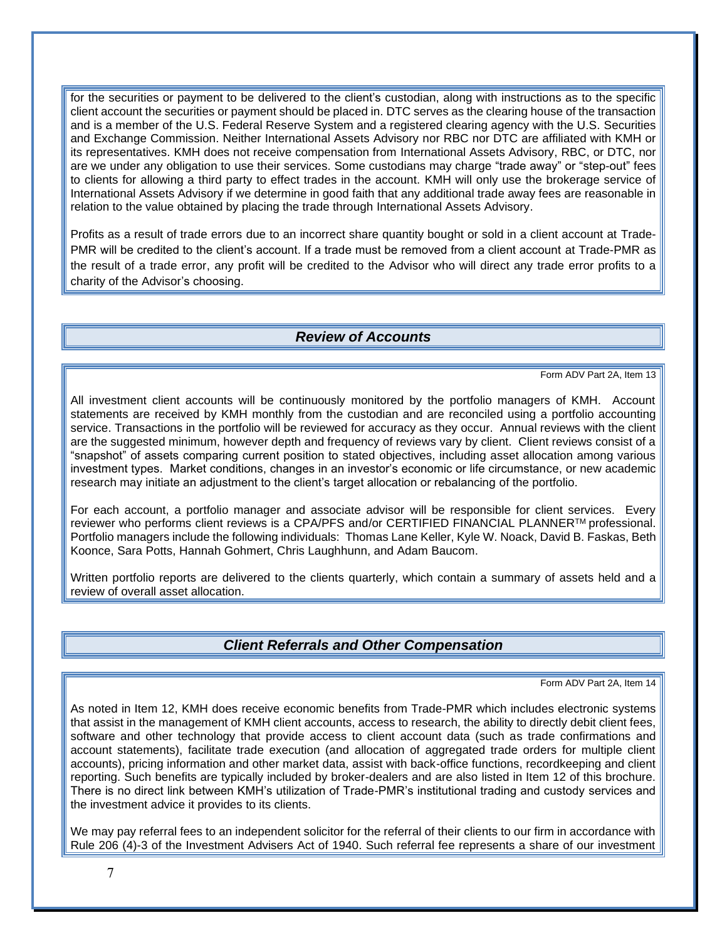for the securities or payment to be delivered to the client's custodian, along with instructions as to the specific client account the securities or payment should be placed in. DTC serves as the clearing house of the transaction and is a member of the U.S. Federal Reserve System and a registered clearing agency with the U.S. Securities and Exchange Commission. Neither International Assets Advisory nor RBC nor DTC are affiliated with KMH or its representatives. KMH does not receive compensation from International Assets Advisory, RBC, or DTC, nor are we under any obligation to use their services. Some custodians may charge "trade away" or "step-out" fees to clients for allowing a third party to effect trades in the account. KMH will only use the brokerage service of International Assets Advisory if we determine in good faith that any additional trade away fees are reasonable in relation to the value obtained by placing the trade through International Assets Advisory.

Profits as a result of trade errors due to an incorrect share quantity bought or sold in a client account at Trade-PMR will be credited to the client's account. If a trade must be removed from a client account at Trade-PMR as the result of a trade error, any profit will be credited to the Advisor who will direct any trade error profits to a charity of the Advisor's choosing.

#### *Review of Accounts*

Form ADV Part 2A, Item 13

<span id="page-9-0"></span>All investment client accounts will be continuously monitored by the portfolio managers of KMH. Account statements are received by KMH monthly from the custodian and are reconciled using a portfolio accounting service. Transactions in the portfolio will be reviewed for accuracy as they occur. Annual reviews with the client are the suggested minimum, however depth and frequency of reviews vary by client. Client reviews consist of a "snapshot" of assets comparing current position to stated objectives, including asset allocation among various investment types. Market conditions, changes in an investor's economic or life circumstance, or new academic research may initiate an adjustment to the client's target allocation or rebalancing of the portfolio.

For each account, a portfolio manager and associate advisor will be responsible for client services. Every reviewer who performs client reviews is a CPA/PFS and/or CERTIFIED FINANCIAL PLANNERTM professional. Portfolio managers include the following individuals: Thomas Lane Keller, Kyle W. Noack, David B. Faskas, Beth Koonce, Sara Potts, Hannah Gohmert, Chris Laughhunn, and Adam Baucom.

<span id="page-9-1"></span>Written portfolio reports are delivered to the clients quarterly, which contain a summary of assets held and a review of overall asset allocation.

### *Client Referrals and Other Compensation*

Form ADV Part 2A, Item 14

As noted in Item 12, KMH does receive economic benefits from Trade-PMR which includes electronic systems that assist in the management of KMH client accounts, access to research, the ability to directly debit client fees, software and other technology that provide access to client account data (such as trade confirmations and account statements), facilitate trade execution (and allocation of aggregated trade orders for multiple client accounts), pricing information and other market data, assist with back-office functions, recordkeeping and client reporting. Such benefits are typically included by broker-dealers and are also listed in Item 12 of this brochure. There is no direct link between KMH's utilization of Trade-PMR's institutional trading and custody services and the investment advice it provides to its clients.

We may pay referral fees to an independent solicitor for the referral of their clients to our firm in accordance with Rule 206 (4)-3 of the Investment Advisers Act of 1940. Such referral fee represents a share of our investment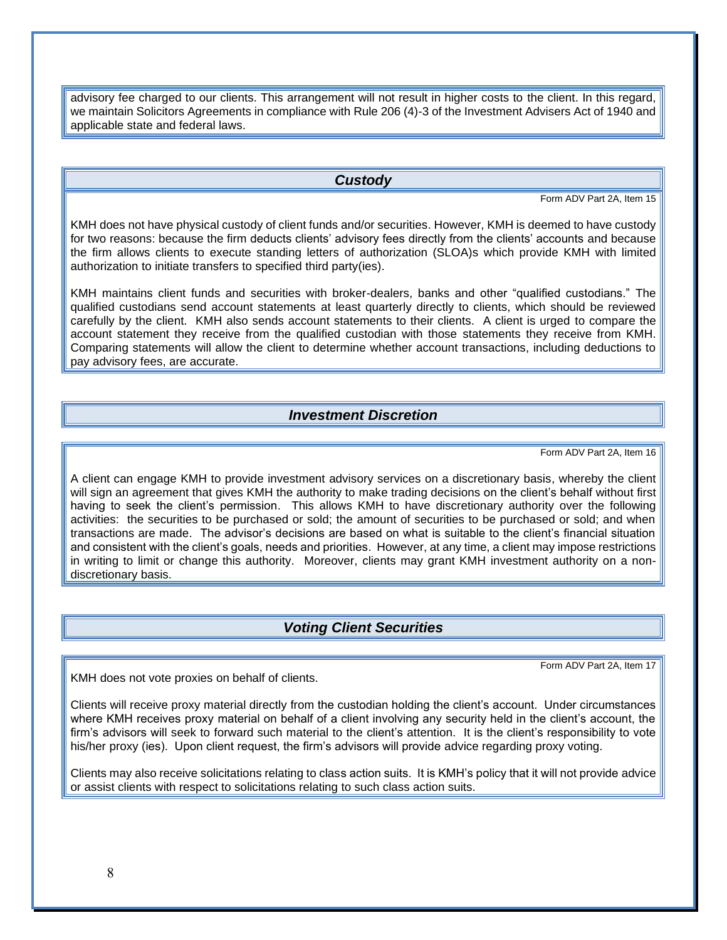advisory fee charged to our clients. This arrangement will not result in higher costs to the client. In this regard, we maintain Solicitors Agreements in compliance with Rule 206 (4)-3 of the Investment Advisers Act of 1940 and applicable state and federal laws.

#### *Custody*

Form ADV Part 2A, Item 15

<span id="page-10-0"></span>KMH does not have physical custody of client funds and/or securities. However, KMH is deemed to have custody for two reasons: because the firm deducts clients' advisory fees directly from the clients' accounts and because the firm allows clients to execute standing letters of authorization (SLOA)s which provide KMH with limited authorization to initiate transfers to specified third party(ies).

KMH maintains client funds and securities with broker-dealers, banks and other "qualified custodians." The qualified custodians send account statements at least quarterly directly to clients, which should be reviewed carefully by the client. KMH also sends account statements to their clients. A client is urged to compare the account statement they receive from the qualified custodian with those statements they receive from KMH. Comparing statements will allow the client to determine whether account transactions, including deductions to pay advisory fees, are accurate.

#### *Investment Discretion*

Form ADV Part 2A, Item 16

<span id="page-10-1"></span>A client can engage KMH to provide investment advisory services on a discretionary basis, whereby the client will sign an agreement that gives KMH the authority to make trading decisions on the client's behalf without first having to seek the client's permission. This allows KMH to have discretionary authority over the following activities: the securities to be purchased or sold; the amount of securities to be purchased or sold; and when transactions are made. The advisor's decisions are based on what is suitable to the client's financial situation and consistent with the client's goals, needs and priorities. However, at any time, a client may impose restrictions in writing to limit or change this authority. Moreover, clients may grant KMH investment authority on a nondiscretionary basis.

#### *Voting Client Securities*

Form ADV Part 2A, Item 17

<span id="page-10-2"></span>KMH does not vote proxies on behalf of clients.

Clients will receive proxy material directly from the custodian holding the client's account. Under circumstances where KMH receives proxy material on behalf of a client involving any security held in the client's account, the firm's advisors will seek to forward such material to the client's attention. It is the client's responsibility to vote his/her proxy (ies). Upon client request, the firm's advisors will provide advice regarding proxy voting.

Clients may also receive solicitations relating to class action suits. It is KMH's policy that it will not provide advice or assist clients with respect to solicitations relating to such class action suits.